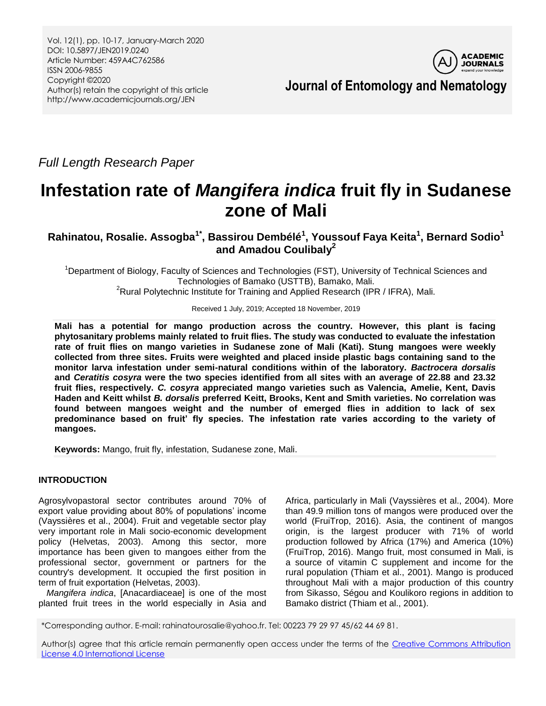Vol. 12(1), pp. 10-17, January-March 2020 DOI: 10.5897/JEN2019.0240 Article Number: 459A4C762586 ISSN 2006-9855 Copyright ©2020 Author(s) retain the copyright of this article http://www.academicjournals.org/JEN



**Journal of Entomology and Nematology**

*Full Length Research Paper*

# **Infestation rate of** *Mangifera indica* **fruit fly in Sudanese zone of Mali**

**Rahinatou, Rosalie. Assogba1\* , Bassirou Dembélé<sup>1</sup> , Youssouf Faya Keita<sup>1</sup> , Bernard Sodio<sup>1</sup> and Amadou Coulibaly<sup>2</sup>**

<sup>1</sup>Department of Biology, Faculty of Sciences and Technologies (FST), University of Technical Sciences and Technologies of Bamako (USTTB), Bamako, Mali.

<sup>2</sup>Rural Polytechnic Institute for Training and Applied Research (IPR / IFRA), Mali.

Received 1 July, 2019; Accepted 18 November, 2019

**Mali has a potential for mango production across the country. However, this plant is facing phytosanitary problems mainly related to fruit flies. The study was conducted to evaluate the infestation rate of fruit flies on mango varieties in Sudanese zone of Mali (Kati). Stung mangoes were weekly collected from three sites. Fruits were weighted and placed inside plastic bags containing sand to the monitor larva infestation under semi-natural conditions within of the laboratory.** *Bactrocera dorsalis* **and** *Ceratitis cosyra* **were the two species identified from all sites with an average of 22.88 and 23.32 fruit flies, respectively.** *C. cosyra* **appreciated mango varieties such as Valencia, Amelie, Kent, Davis Haden and Keitt whilst** *B. dorsalis* **preferred Keitt, Brooks, Kent and Smith varieties. No correlation was found between mangoes weight and the number of emerged flies in addition to lack of sex predominance based on fruit' fly species. The infestation rate varies according to the variety of mangoes.**

**Keywords:** Mango, fruit fly, infestation, Sudanese zone, Mali.

# **INTRODUCTION**

Agrosylvopastoral sector contributes around 70% of export value providing about 80% of populations' income (Vayssières et al., 2004). Fruit and vegetable sector play very important role in Mali socio-economic development policy (Helvetas, 2003). Among this sector, more importance has been given to mangoes either from the professional sector, government or partners for the country's development. It occupied the first position in term of fruit exportation (Helvetas, 2003).

*Mangifera indica*, [Anacardiaceae] is one of the most planted fruit trees in the world especially in Asia and Africa, particularly in Mali (Vayssières et al., 2004). More than 49.9 million tons of mangos were produced over the world (FruiTrop, 2016). Asia, the continent of mangos origin, is the largest producer with 71% of world production followed by Africa (17%) and America (10%) (FruiTrop, 2016). Mango fruit, most consumed in Mali, is a source of vitamin C supplement and income for the rural population (Thiam et al., 2001). Mango is produced throughout Mali with a major production of this country from Sikasso, Ségou and Koulikoro regions in addition to Bamako district (Thiam et al., 2001).

\*Corresponding author. E-mail: rahinatourosalie@yahoo.fr. Tel: 00223 79 29 97 45/62 44 69 81.

Author(s) agree that this article remain permanently open access under the terms of the Creative Commons Attribution [License 4.0 International License](http://creativecommons.org/licenses/by/4.0/deed.en_US)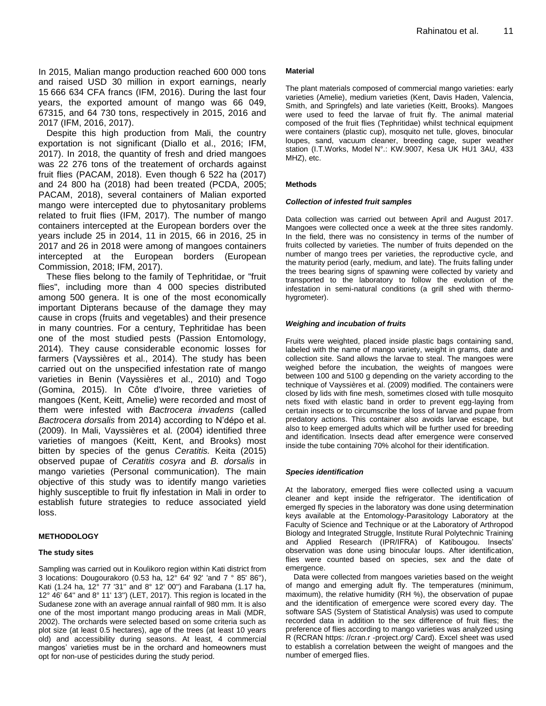In 2015, Malian mango production reached 600 000 tons and raised USD 30 million in export earnings, nearly 15 666 634 CFA francs (IFM, 2016). During the last four years, the exported amount of mango was 66 049, 67315, and 64 730 tons, respectively in 2015, 2016 and 2017 (IFM, 2016, 2017).

Despite this high production from Mali, the country exportation is not significant (Diallo et al., 2016; IFM, 2017). In 2018, the quantity of fresh and dried mangoes was 22 276 tons of the treatement of orchards against fruit flies (PACAM, 2018). Even though 6 522 ha (2017) and 24 800 ha (2018) had been treated (PCDA, 2005; PACAM, 2018), several containers of Malian exported mango were intercepted due to phytosanitary problems related to fruit flies (IFM, 2017). The number of mango containers intercepted at the European borders over the years include 25 in 2014, 11 in 2015, 66 in 2016, 25 in 2017 and 26 in 2018 were among of mangoes containers intercepted at the European borders (European Commission, 2018; IFM, 2017).

These flies belong to the family of Tephritidae, or "fruit flies", including more than 4 000 species distributed among 500 genera. It is one of the most economically important Dipterans because of the damage they may cause in crops (fruits and vegetables) and their presence in many countries. For a century, Tephritidae has been one of the most studied pests (Passion Entomology, 2014). They cause considerable economic losses for farmers (Vayssières et al., 2014). The study has been carried out on the unspecified infestation rate of mango varieties in Benin (Vayssières et al., 2010) and Togo (Gomina, 2015). In Côte d'Ivoire, three varieties of mangoes (Kent, Keitt, Amelie) were recorded and most of them were infested with *Bactrocera invadens* (called *Bactrocera dorsalis* from 2014) according to N'dépo et al. (2009). In Mali, Vayssières et al*.* (2004) identified three varieties of mangoes (Keitt, Kent, and Brooks) most bitten by species of the genus *Ceratitis.* Keita (2015) observed pupae of *Ceratitis cosyra* and *B. dorsalis* in mango varieties (Personal communication). The main objective of this study was to identify mango varieties highly susceptible to fruit fly infestation in Mali in order to establish future strategies to reduce associated yield loss.

### **METHODOLOGY**

### **The study sites**

Sampling was carried out in Koulikoro region within Kati district from 3 locations: Dougourakoro (0.53 ha,  $12^{\circ}$  64' 92' 'and 7  $^{\circ}$  85' 86"), Kati (1.24 ha, 12° 77 '31'' and 8° 12' 00'') and Farabana (1.17 ha, 12° 46' 64'' and 8° 11' 13'') (LET, 2017). This region is located in the Sudanese zone with an average annual rainfall of 980 mm. It is also one of the most important mango producing areas in Mali (MDR, 2002). The orchards were selected based on some criteria such as plot size (at least 0.5 hectares), age of the trees (at least 10 years old) and accessibility during seasons. At least, 4 commercial mangos' varieties must be in the orchard and homeowners must opt for non-use of pesticides during the study period.

#### **Material**

The plant materials composed of commercial mango varieties: early varieties (Amelie), medium varieties (Kent, Davis Haden, Valencia, Smith, and Springfels) and late varieties (Keitt, Brooks). Mangoes were used to feed the larvae of fruit fly. The animal material composed of the fruit flies (Tephritidae) whilst technical equipment were containers (plastic cup), mosquito net tulle, gloves, binocular loupes, sand, vacuum cleaner, breeding cage, super weather station (I.T.Works, Model N°.: KW.9007, Kesa UK HU1 3AU, 433 MHZ), etc.

#### **Methods**

#### *Collection of infested fruit samples*

Data collection was carried out between April and August 2017. Mangoes were collected once a week at the three sites randomly. In the field, there was no consistency in terms of the number of fruits collected by varieties. The number of fruits depended on the number of mango trees per varieties, the reproductive cycle, and the maturity period (early, medium, and late). The fruits falling under the trees bearing signs of spawning were collected by variety and transported to the laboratory to follow the evolution of the infestation in semi-natural conditions (a grill shed with thermohygrometer).

#### *Weighing and incubation of fruits*

Fruits were weighted, placed inside plastic bags containing sand, labeled with the name of mango variety, weight in grams, date and collection site. Sand allows the larvae to steal. The mangoes were weighed before the incubation, the weights of mangoes were between 100 and 5100 g depending on the variety according to the technique of Vayssières et al. (2009) modified. The containers were closed by lids with fine mesh, sometimes closed with tulle mosquito nets fixed with elastic band in order to prevent egg-laying from certain insects or to circumscribe the loss of larvae and pupae from predatory actions. This container also avoids larvae escape, but also to keep emerged adults which will be further used for breeding and identification. Insects dead after emergence were conserved inside the tube containing 70% alcohol for their identification.

#### *Species identification*

At the laboratory, emerged flies were collected using a vacuum cleaner and kept inside the refrigerator. The identification of emerged fly species in the laboratory was done using determination keys available at the Entomology-Parasitology Laboratory at the Faculty of Science and Technique or at the Laboratory of Arthropod Biology and Integrated Struggle, Institute Rural Polytechnic Training and Applied Research (IPR/IFRA) of Katibougou. Insects' observation was done using binocular loups. After identification, flies were counted based on species, sex and the date of emergence.

Data were collected from mangoes varieties based on the weight of mango and emerging adult fly. The temperatures (minimum, maximum), the relative humidity (RH %), the observation of pupae and the identification of emergence were scored every day. The software SAS (System of Statistical Analysis) was used to compute recorded data in addition to the sex difference of fruit flies; the preference of flies according to mango varieties was analyzed using R (RCRAN https: //cran.r -project.org/ Card). Excel sheet was used to establish a correlation between the weight of mangoes and the number of emerged flies.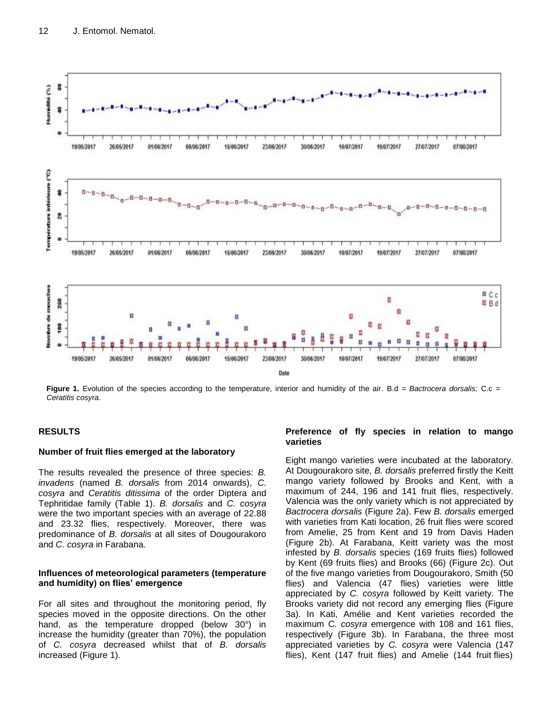

**Figure 1.** Evolution of the species according to the temperature, interior and humidity of the air. B.d *= Bactrocera dorsalis;* C.c *= Ceratitis cosyra*.

## **RESULTS**

### **Number of fruit flies emerged at the laboratory**

The results revealed the presence of three species: *B. invadens* (named *B. dorsalis* from 2014 onwards), *C. cosyra* and *Ceratitis ditissima* of the order Diptera and Tephritidae family (Table 1). *B. dorsalis* and *C. cosyra* were the two important species with an average of 22.88 and 23.32 flies, respectively. Moreover, there was predominance of *B. dorsalis* at all sites of Dougourakoro and *C. cosyra* in Farabana.

## **Influences of meteorological parameters (temperature and humidity) on flies' emergence**

For all sites and throughout the monitoring period, fly species moved in the opposite directions. On the other hand, as the temperature dropped (below 30°) in increase the humidity (greater than 70%), the population of *C. cosyra* decreased whilst that of *B. dorsalis* increased (Figure 1).

## **Preference of fly species in relation to mango varieties**

Eight mango varieties were incubated at the laboratory. At Dougourakoro site, *B. dorsalis* preferred firstly the Keitt mango variety followed by Brooks and Kent, with a maximum of 244, 196 and 141 fruit flies, respectively. Valencia was the only variety which is not appreciated by *Bactrocera dorsalis* (Figure 2a). Few *B. dorsalis* emerged with varieties from Kati location, 26 fruit flies were scored from Amelie, 25 from Kent and 19 from Davis Haden (Figure 2b). At Farabana, Keitt variety was the most infested by *B. dorsalis* species (169 fruits flies) followed by Kent (69 fruits flies) and Brooks (66) (Figure 2c). Out of the five mango varieties from Dougourakoro, Smith (50 flies) and Valencia (47 flies) varieties were little appreciated by *C. cosyra* followed by Keitt variety. The Brooks variety did not record any emerging flies (Figure 3a). In Kati, Amélie and Kent varieties recorded the maximum C*. cosyra* emergence with 108 and 161 flies, respectively (Figure 3b). In Farabana, the three most appreciated varieties by *C. cosyra* were Valencia (147 flies), Kent (147 fruit flies) and Amelie (144 fruit flies)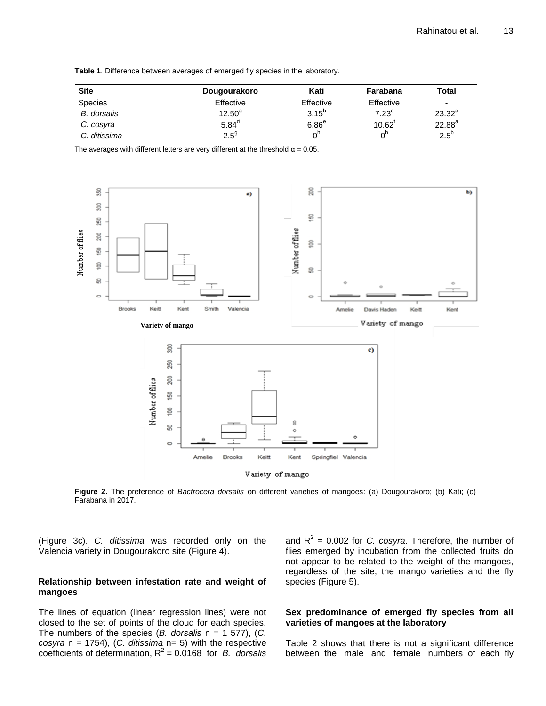|  |  |  | Table 1. Difference between averages of emerged fly species in the laboratory. |  |
|--|--|--|--------------------------------------------------------------------------------|--|
|  |  |  |                                                                                |  |

| <b>Site</b>        | Dougourakoro      | Kati              | Farabana          | Total         |
|--------------------|-------------------|-------------------|-------------------|---------------|
| <b>Species</b>     | Effective         | Effective         | Effective         | ۰             |
| <b>B.</b> dorsalis | $12.50^a$         | $3.15^{b}$        | 7.23 <sup>c</sup> | $23.32^{a}$   |
| C. cosyra          | 5.84 <sup>d</sup> | 6.86 <sup>e</sup> | $10.62^1$         | $22.88^{a}$   |
| C. ditissima       | $2.5^{9}$         |                   | $n^n$             | $2.5^{\rm b}$ |

The averages with different letters are very different at the threshold  $\alpha = 0.05$ .



**Figure 2.** The preference of *Bactrocera dorsalis* on different varieties of mangoes: (a) Dougourakoro; (b) Kati; (c) Farabana in 2017.

(Figure 3c). *C. ditissima* was recorded only on the Valencia variety in Dougourakoro site (Figure 4).

## **Relationship between infestation rate and weight of mangoes**

The lines of equation (linear regression lines) were not closed to the set of points of the cloud for each species. The numbers of the species (*B. dorsalis* n = 1 577), (*C. cosyra* n = 1754), (*C. ditissima* n= 5) with the respective coefficients of determination, R 2 = 0.0168 for *B. dorsalis*

and  $R^2$  = 0.002 for *C. cosyra*. Therefore, the number of flies emerged by incubation from the collected fruits do not appear to be related to the weight of the mangoes, regardless of the site, the mango varieties and the fly species (Figure 5).

## **Sex predominance of emerged fly species from all varieties of mangoes at the laboratory**

Table 2 shows that there is not a significant difference between the male and female numbers of each fly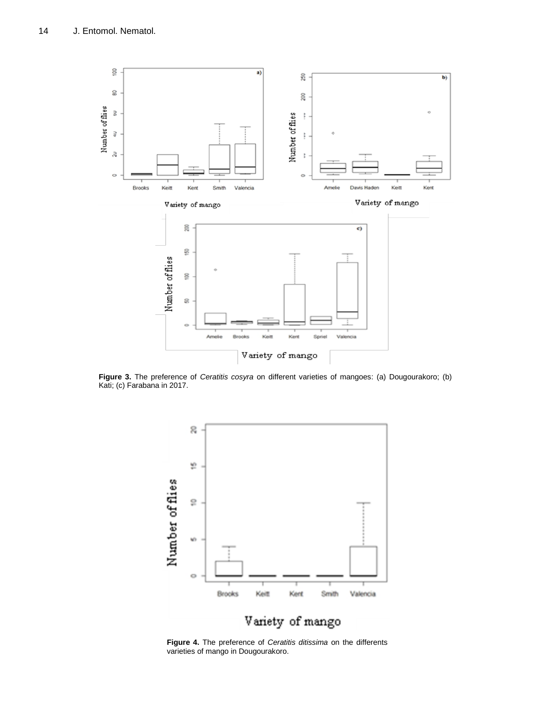

**Figure 3.** The preference of *Ceratitis cosyra* on different varieties of mangoes: (a) Dougourakoro; (b) Kati; (c) Farabana in 2017.



**Figure 4.** The preference of *Ceratitis ditissima* on the differents varieties of mango in Dougourakoro.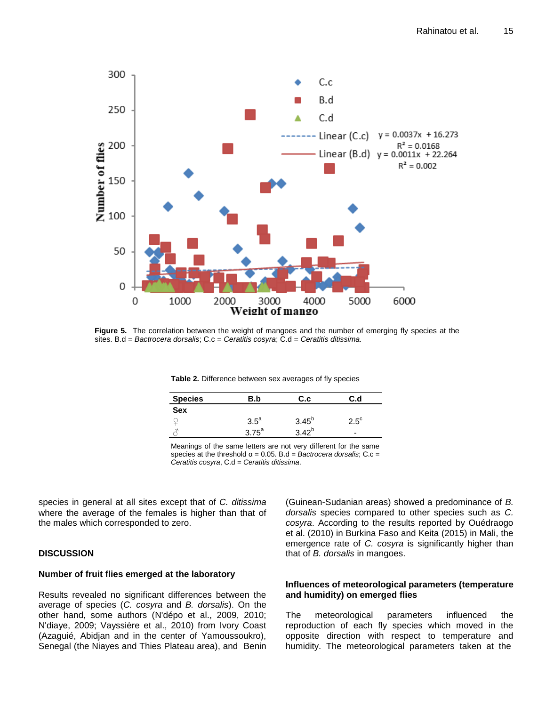

**Figure 5.** The correlation between the weight of mangoes and the number of emerging fly species at the sites. B.d = *Bactrocera dorsalis*; C.c = *Ceratitis cosyra*; C.d = *Ceratitis ditissima.*

**Table 2.** Difference between sex averages of fly species

| <b>Species</b> | B.b           | C.c             | C.d                      |  |
|----------------|---------------|-----------------|--------------------------|--|
| <b>Sex</b>     |               |                 |                          |  |
|                | $3.5^{\circ}$ | $3.45^{b}$      | $2.5^{\circ}$            |  |
|                | ה ה $75^a$    | 40 <sup>0</sup> | $\overline{\phantom{0}}$ |  |

Meanings of the same letters are not very different for the same species at the threshold  $\alpha = 0.05$ . B.d = *Bactrocera dorsalis*; C.c = *Ceratitis cosyra*, C.d = *Ceratitis ditissima*.

species in general at all sites except that of *C. ditissima* where the average of the females is higher than that of the males which corresponded to zero.

# **DISCUSSION**

## **Number of fruit flies emerged at the laboratory**

Results revealed no significant differences between the average of species (*C. cosyra* and *B. dorsalis*). On the other hand, some authors (N'dépo et al., 2009, 2010; N'diaye, 2009; Vayssière et al., 2010) from Ivory Coast (Azaguié, Abidjan and in the center of Yamoussoukro), Senegal (the Niayes and Thies Plateau area), and Benin (Guinean-Sudanian areas) showed a predominance of *B. dorsalis* species compared to other species such as *C. cosyra*. According to the results reported by Ouédraogo et al. (2010) in Burkina Faso and Keita (2015) in Mali, the emergence rate of *C. cosyra* is significantly higher than that of *B. dorsalis* in mangoes.

## **Influences of meteorological parameters (temperature and humidity) on emerged flies**

The meteorological parameters influenced the reproduction of each fly species which moved in the opposite direction with respect to temperature and humidity. The meteorological parameters taken at the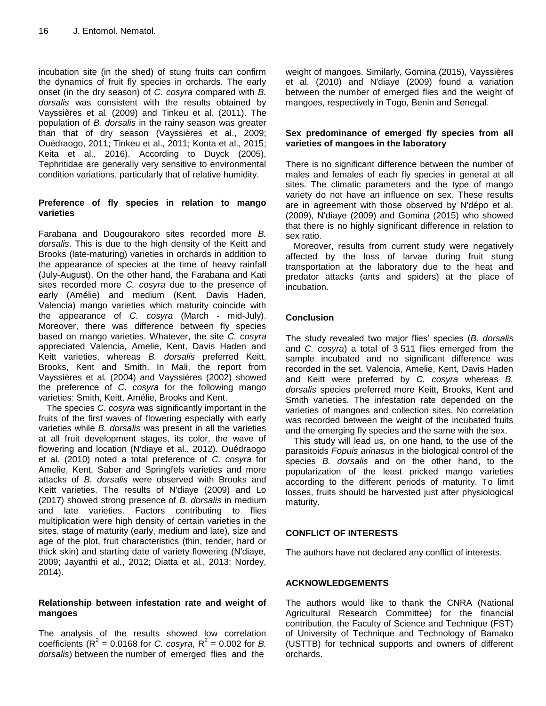incubation site (in the shed) of stung fruits can confirm the dynamics of fruit fly species in orchards. The early onset (in the dry season) of *C. cosyra* compared with *B. dorsalis* was consistent with the results obtained by Vayssières et al*.* (2009) and Tinkeu et al*.* (2011). The population of *B. dorsalis* in the rainy season was greater than that of dry season (Vayssières et al., 2009; Ouédraogo, 2011; Tinkeu et al., 2011; Konta et al., 2015; Keita et al., 2016). According to Duyck (2005), Tephritidae are generally very sensitive to environmental condition variations, particularly that of relative humidity.

## **Preference of fly species in relation to mango varieties**

Farabana and Dougourakoro sites recorded more *B. dorsalis*. This is due to the high density of the Keitt and Brooks (late-maturing) varieties in orchards in addition to the appearance of species at the time of heavy rainfall (July-August). On the other hand, the Farabana and Kati sites recorded more *C. cosyra* due to the presence of early (Amélie) and medium (Kent, Davis Haden, Valencia) mango varieties which maturity coincide with the appearance of *C. cosyra* (March - mid-July). Moreover, there was difference between fly species based on mango varieties. Whatever, the site *C. cosyra* appreciated Valencia, Amelie, Kent, Davis Haden and Keitt varieties, whereas *B. dorsalis* preferred Keitt, Brooks, Kent and Smith. In Mali, the report from Vayssières et al*.* (2004) and Vayssières (2002) showed the preference of *C. cosyra* for the following mango varieties: Smith, Keitt, Amélie, Brooks and Kent.

The species *C. cosyra* was significantly important in the fruits of the first waves of flowering especially with early varieties while *B. dorsalis* was present in all the varieties at all fruit development stages, its color, the wave of flowering and location (N'diaye et al., 2012). Ouédraogo et al*.* (2010) noted a total preference of *C. cosyra* for Amelie, Kent, Saber and Springfels varieties and more attacks of *B. dorsalis* were observed with Brooks and Keitt varieties. The results of N'diaye (2009) and Lo (2017) showed strong presence of *B. dorsalis* in medium and late varieties. Factors contributing to flies multiplication were high density of certain varieties in the sites, stage of maturity (early, medium and late), size and age of the plot, fruit characteristics (thin, tender, hard or thick skin) and starting date of variety flowering (N'diaye, 2009; Jayanthi et al*.*, 2012; Diatta et al*.*, 2013; Nordey, 2014).

## **Relationship between infestation rate and weight of mangoes**

The analysis of the results showed low correlation coefficients ( $R^2 = 0.0168$  for *C. cosyra*,  $R^2 = 0.002$  for *B. dorsalis*) between the number of emerged flies and the

weight of mangoes. Similarly, Gomina (2015), Vayssières et al. (2010) and N'diaye (2009) found a variation between the number of emerged flies and the weight of mangoes, respectively in Togo, Benin and Senegal.

## **Sex predominance of emerged fly species from all varieties of mangoes in the laboratory**

There is no significant difference between the number of males and females of each fly species in general at all sites. The climatic parameters and the type of mango variety do not have an influence on sex. These results are in agreement with those observed by N'dépo et al. (2009), N'diaye (2009) and Gomina (2015) who showed that there is no highly significant difference in relation to sex ratio.

Moreover, results from current study were negatively affected by the loss of larvae during fruit stung transportation at the laboratory due to the heat and predator attacks (ants and spiders) at the place of incubation.

# **Conclusion**

The study revealed two major flies' species (*B. dorsalis* and *C. cosyra*) a total of 3 511 flies emerged from the sample incubated and no significant difference was recorded in the set. Valencia, Amelie, Kent, Davis Haden and Keitt were preferred by *C. cosyra* whereas *B. dorsalis* species preferred more Keitt, Brooks, Kent and Smith varieties. The infestation rate depended on the varieties of mangoes and collection sites. No correlation was recorded between the weight of the incubated fruits and the emerging fly species and the same with the sex.

This study will lead us, on one hand, to the use of the parasitoids *Fopuis arinasus* in the biological control of the species *B. dorsalis* and on the other hand, to the popularization of the least pricked mango varieties according to the different periods of maturity. To limit losses, fruits should be harvested just after physiological maturity.

# **CONFLICT OF INTERESTS**

The authors have not declared any conflict of interests.

# **ACKNOWLEDGEMENTS**

The authors would like to thank the CNRA (National Agricultural Research Committee) for the financial contribution, the Faculty of Science and Technique (FST) of University of Technique and Technology of Bamako (USTTB) for technical supports and owners of different orchards.